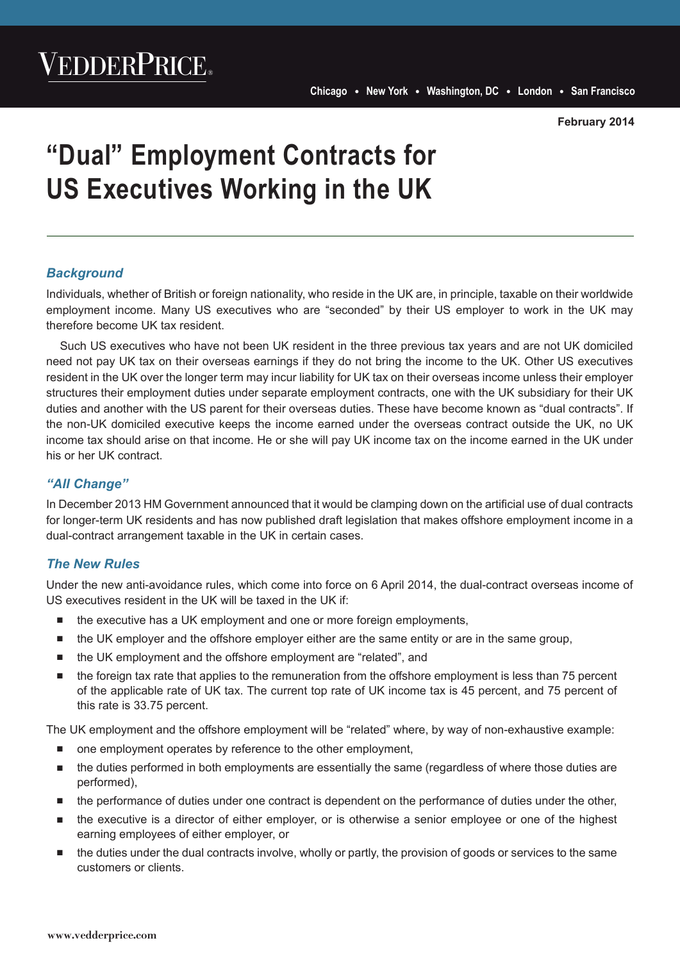# **"Dual" Employment Contracts for US Executives Working in the UK**

### *Background*

Individuals, whether of British or foreign nationality, who reside in the UK are, in principle, taxable on their worldwide employment income. Many US executives who are "seconded" by their US employer to work in the UK may therefore become UK tax resident.

Such US executives who have not been UK resident in the three previous tax years and are not UK domiciled need not pay UK tax on their overseas earnings if they do not bring the income to the UK. Other US executives resident in the UK over the longer term may incur liability for UK tax on their overseas income unless their employer structures their employment duties under separate employment contracts, one with the UK subsidiary for their UK duties and another with the US parent for their overseas duties. These have become known as "dual contracts". If the non-UK domiciled executive keeps the income earned under the overseas contract outside the UK, no UK income tax should arise on that income. He or she will pay UK income tax on the income earned in the UK under his or her UK contract.

## *"All Change"*

In December 2013 HM Government announced that it would be clamping down on the artificial use of dual contracts for longer-term UK residents and has now published draft legislation that makes offshore employment income in a dual-contract arrangement taxable in the UK in certain cases.

#### *The New Rules*

Under the new anti-avoidance rules, which come into force on 6 April 2014, the dual-contract overseas income of US executives resident in the UK will be taxed in the UK if:

- the executive has a UK employment and one or more foreign employments,
- the UK employer and the offshore employer either are the same entity or are in the same group,
- the UK employment and the offshore employment are "related", and
- the foreign tax rate that applies to the remuneration from the offshore employment is less than 75 percent of the applicable rate of UK tax. The current top rate of UK income tax is 45 percent, and 75 percent of this rate is 33.75 percent.

The UK employment and the offshore employment will be "related" where, by way of non-exhaustive example:

- one employment operates by reference to the other employment,
- the duties performed in both employments are essentially the same (regardless of where those duties are performed),
- the performance of duties under one contract is dependent on the performance of duties under the other,
- the executive is a director of either employer, or is otherwise a senior employee or one of the highest earning employees of either employer, or
- the duties under the dual contracts involve, wholly or partly, the provision of goods or services to the same customers or clients.